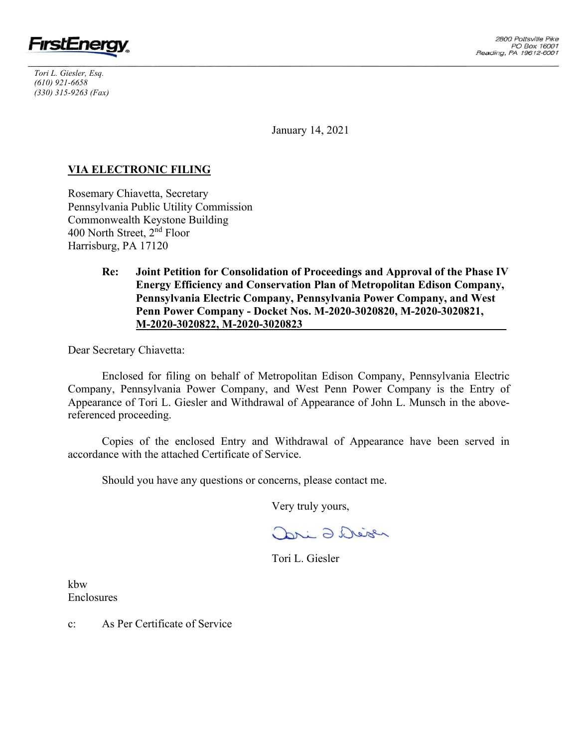

*Tori L. Giesler, Esq. (610) 921-6658 (330) 315-9263 (Fax)*

January 14, 2021

# **VIA ELECTRONIC FILING**

Rosemary Chiavetta, Secretary Pennsylvania Public Utility Commission Commonwealth Keystone Building 400 North Street, 2nd Floor Harrisburg, PA 17120

> **Re: Joint Petition for Consolidation of Proceedings and Approval of the Phase IV Energy Efficiency and Conservation Plan of Metropolitan Edison Company, Pennsylvania Electric Company, Pennsylvania Power Company, and West Penn Power Company - Docket Nos. M-2020-3020820, M-2020-3020821, M-2020-3020822, M-2020-3020823\_\_\_\_\_\_\_\_\_\_\_\_\_\_\_\_\_\_\_\_\_\_\_\_\_\_\_\_\_\_\_\_\_\_\_\_**

Dear Secretary Chiavetta:

Enclosed for filing on behalf of Metropolitan Edison Company, Pennsylvania Electric Company, Pennsylvania Power Company, and West Penn Power Company is the Entry of Appearance of Tori L. Giesler and Withdrawal of Appearance of John L. Munsch in the abovereferenced proceeding.

Copies of the enclosed Entry and Withdrawal of Appearance have been served in accordance with the attached Certificate of Service.

Should you have any questions or concerns, please contact me.

Very truly yours,

Dri 2 Deser

Tori L. Giesler

kbw Enclosures

c: As Per Certificate of Service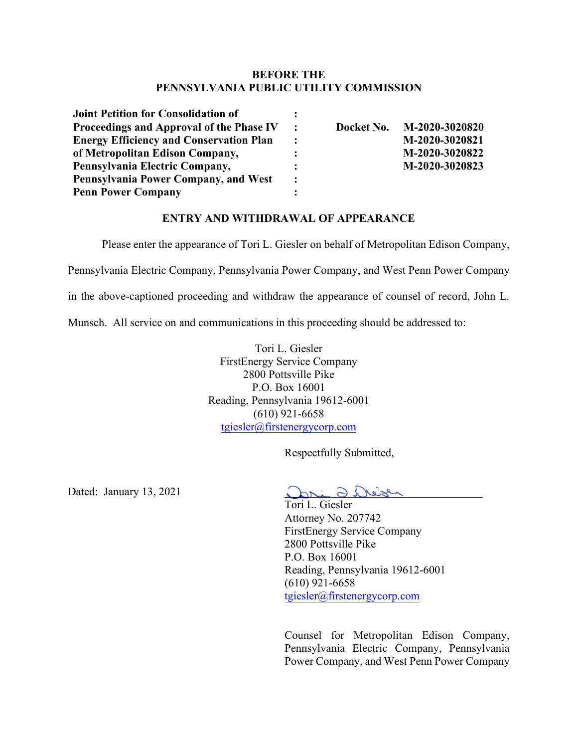## **BEFORE THE PENNSYLVANIA PUBLIC UTILITY COMMISSION**

| <b>Joint Petition for Consolidation of</b>     |                      |            |                |
|------------------------------------------------|----------------------|------------|----------------|
| Proceedings and Approval of the Phase IV       | $\mathbf{r}$         | Docket No. | M-2020-3020820 |
| <b>Energy Efficiency and Conservation Plan</b> | $\ddot{\cdot}$       |            | M-2020-3020821 |
| of Metropolitan Edison Company,                | :                    |            | M-2020-3020822 |
| Pennsylvania Electric Company,                 |                      |            | M-2020-3020823 |
| Pennsylvania Power Company, and West           | $\ddot{\phantom{a}}$ |            |                |
| <b>Penn Power Company</b>                      |                      |            |                |

# **ENTRY AND WITHDRAWAL OF APPEARANCE**

Please enter the appearance of Tori L. Giesler on behalf of Metropolitan Edison Company,

Pennsylvania Electric Company, Pennsylvania Power Company, and West Penn Power Company

in the above-captioned proceeding and withdraw the appearance of counsel of record, John L.

Munsch. All service on and communications in this proceeding should be addressed to:

Tori L. Giesler FirstEnergy Service Company 2800 Pottsville Pike P.O. Box 16001 Reading, Pennsylvania 19612-6001 (610) 921-6658 [tgiesler@firstenergycorp.com](mailto:tgiesler@firstenergycorp.com)

Respectfully Submitted,

Dated: January 13, 2021

ari O. Deisen

Tori L. Giesler Attorney No. 207742 FirstEnergy Service Company 2800 Pottsville Pike P.O. Box 16001 Reading, Pennsylvania 19612-6001 (610) 921-6658 [tgiesler@firstenergycorp.com](mailto:tgiesler@firstenergycorp.com)

Counsel for Metropolitan Edison Company, Pennsylvania Electric Company, Pennsylvania Power Company, and West Penn Power Company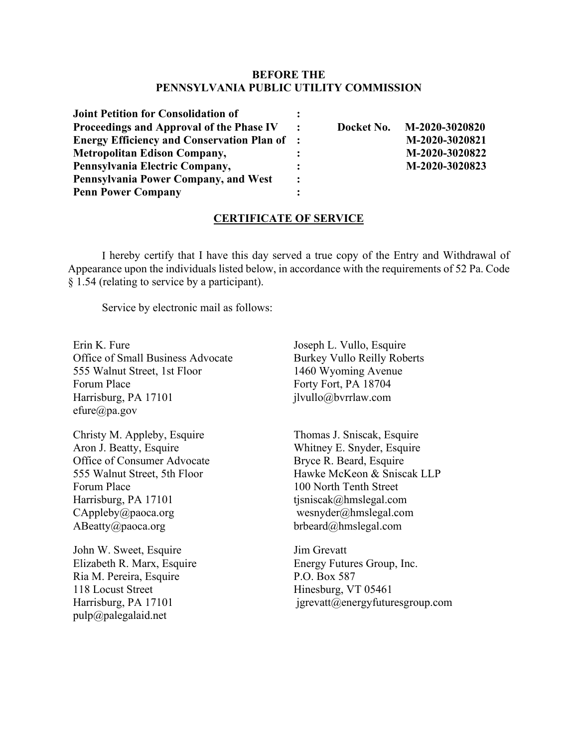## **BEFORE THE PENNSYLVANIA PUBLIC UTILITY COMMISSION**

| <b>Joint Petition for Consolidation of</b>          |                |                           |
|-----------------------------------------------------|----------------|---------------------------|
| Proceedings and Approval of the Phase IV            | $\ddot{\cdot}$ | Docket No. M-2020-3020820 |
| <b>Energy Efficiency and Conservation Plan of :</b> |                | M-2020-3020821            |
| <b>Metropolitan Edison Company,</b>                 |                | M-2020-3020822            |
| Pennsylvania Electric Company,                      |                | M-2020-3020823            |
| Pennsylvania Power Company, and West                | $\cdot$ :      |                           |
| <b>Penn Power Company</b>                           |                |                           |

#### **CERTIFICATE OF SERVICE**

I hereby certify that I have this day served a true copy of the Entry and Withdrawal of Appearance upon the individuals listed below, in accordance with the requirements of 52 Pa. Code § 1.54 (relating to service by a participant).

Service by electronic mail as follows:

Erin K. Fure Office of Small Business Advocate 555 Walnut Street, 1st Floor Forum Place Harrisburg, PA 17101 efure@pa.gov

Christy M. Appleby, Esquire Aron J. Beatty, Esquire Office of Consumer Advocate 555 Walnut Street, 5th Floor Forum Place Harrisburg, PA 17101 CAppleby@paoca.org ABeatty@paoca.org

John W. Sweet, Esquire Elizabeth R. Marx, Esquire Ria M. Pereira, Esquire 118 Locust Street Harrisburg, PA 17101 pulp@palegalaid.net

Joseph L. Vullo, Esquire Burkey Vullo Reilly Roberts 1460 Wyoming Avenue Forty Fort, PA 18704 jlvullo@bvrrlaw.com

Thomas J. Sniscak, Esquire Whitney E. Snyder, Esquire Bryce R. Beard, Esquire Hawke McKeon & Sniscak LLP 100 North Tenth Street tjsniscak@hmslegal.com wesnyder@hmslegal.com brbeard@hmslegal.com

Jim Grevatt Energy Futures Group, Inc. P.O. Box 587 Hinesburg, VT 05461 jgrevatt@energyfuturesgroup.com